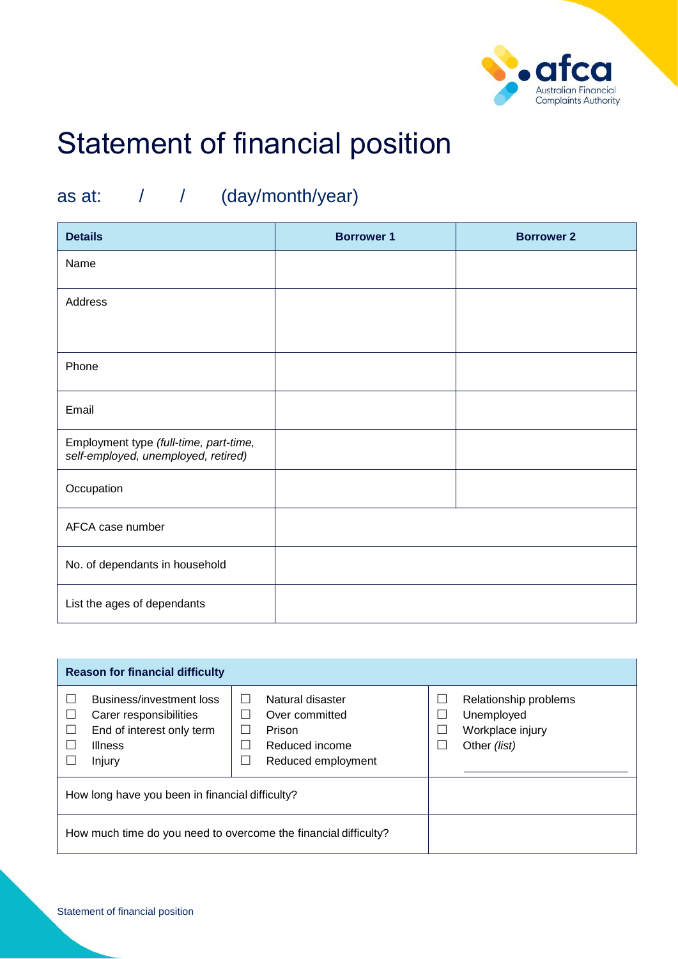

# Statement of financial position

## as at: / / (day/month/year)

| <b>Details</b>                                                                | <b>Borrower 1</b> | <b>Borrower 2</b> |
|-------------------------------------------------------------------------------|-------------------|-------------------|
| Name                                                                          |                   |                   |
| Address                                                                       |                   |                   |
|                                                                               |                   |                   |
| Phone                                                                         |                   |                   |
| Email                                                                         |                   |                   |
| Employment type (full-time, part-time,<br>self-employed, unemployed, retired) |                   |                   |
| Occupation                                                                    |                   |                   |
| AFCA case number                                                              |                   |                   |
| No. of dependants in household                                                |                   |                   |
| List the ages of dependants                                                   |                   |                   |

| <b>Reason for financial difficulty</b>                                                                      |                                                                                                                                                         |                                                                         |  |  |  |
|-------------------------------------------------------------------------------------------------------------|---------------------------------------------------------------------------------------------------------------------------------------------------------|-------------------------------------------------------------------------|--|--|--|
| Business/investment loss<br>Carer responsibilities<br>End of interest only term<br><b>Illness</b><br>Injury | Natural disaster<br>$\mathsf{L}$<br>Over committed<br>$\sim$<br>Prison<br>, 1<br>Reduced income<br>$\mathcal{L}$<br>Reduced employment<br>$\mathcal{L}$ | Relationship problems<br>Unemployed<br>Workplace injury<br>Other (list) |  |  |  |
| How long have you been in financial difficulty?                                                             |                                                                                                                                                         |                                                                         |  |  |  |
| How much time do you need to overcome the financial difficulty?                                             |                                                                                                                                                         |                                                                         |  |  |  |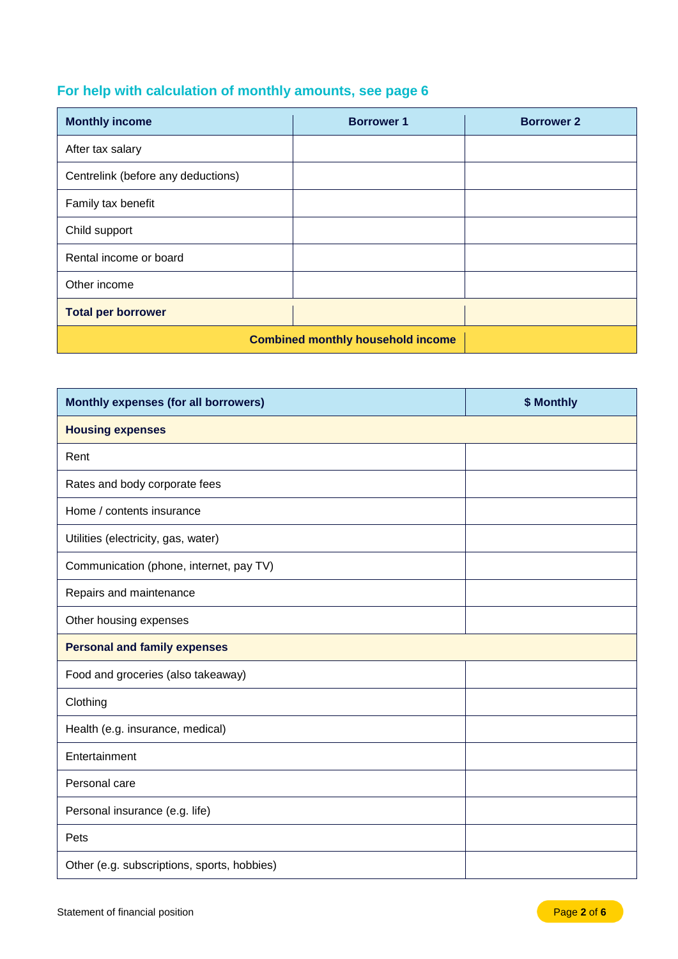### **For help with calculation of monthly amounts, see page 6**

| <b>Monthly income</b>                    | <b>Borrower 1</b> | <b>Borrower 2</b> |
|------------------------------------------|-------------------|-------------------|
| After tax salary                         |                   |                   |
| Centrelink (before any deductions)       |                   |                   |
| Family tax benefit                       |                   |                   |
| Child support                            |                   |                   |
| Rental income or board                   |                   |                   |
| Other income                             |                   |                   |
| <b>Total per borrower</b>                |                   |                   |
| <b>Combined monthly household income</b> |                   |                   |

| Monthly expenses (for all borrowers)        | \$ Monthly |  |  |  |
|---------------------------------------------|------------|--|--|--|
| <b>Housing expenses</b>                     |            |  |  |  |
| Rent                                        |            |  |  |  |
| Rates and body corporate fees               |            |  |  |  |
| Home / contents insurance                   |            |  |  |  |
| Utilities (electricity, gas, water)         |            |  |  |  |
| Communication (phone, internet, pay TV)     |            |  |  |  |
| Repairs and maintenance                     |            |  |  |  |
| Other housing expenses                      |            |  |  |  |
| <b>Personal and family expenses</b>         |            |  |  |  |
| Food and groceries (also takeaway)          |            |  |  |  |
| Clothing                                    |            |  |  |  |
| Health (e.g. insurance, medical)            |            |  |  |  |
| Entertainment                               |            |  |  |  |
| Personal care                               |            |  |  |  |
| Personal insurance (e.g. life)              |            |  |  |  |
| Pets                                        |            |  |  |  |
| Other (e.g. subscriptions, sports, hobbies) |            |  |  |  |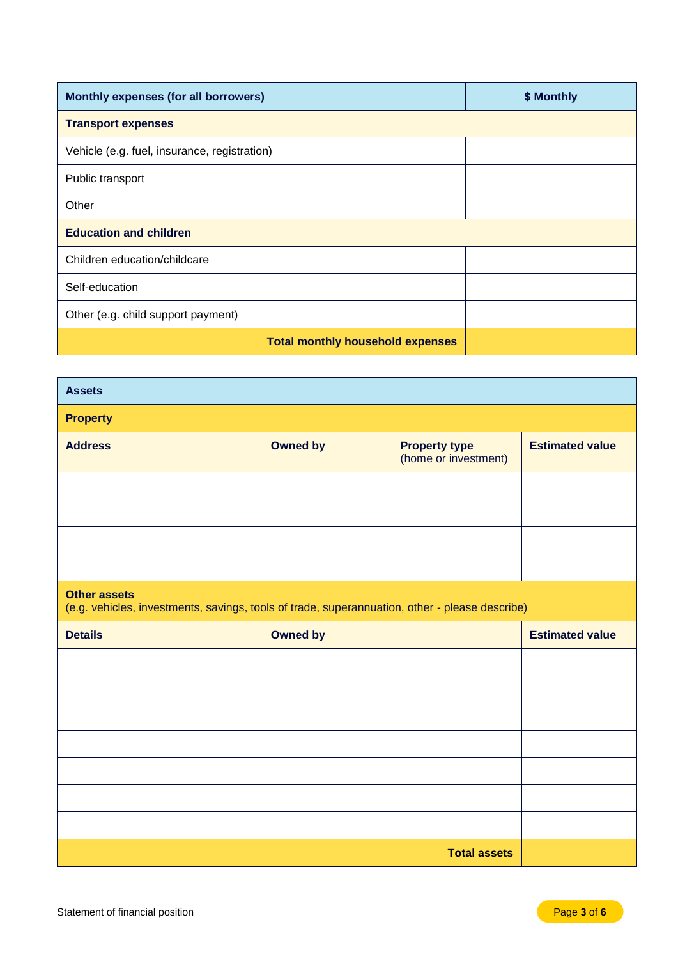| Monthly expenses (for all borrowers)         | \$ Monthly |
|----------------------------------------------|------------|
| <b>Transport expenses</b>                    |            |
| Vehicle (e.g. fuel, insurance, registration) |            |
| Public transport                             |            |
| Other                                        |            |
| <b>Education and children</b>                |            |
| Children education/childcare                 |            |
| Self-education                               |            |
| Other (e.g. child support payment)           |            |
| <b>Total monthly household expenses</b>      |            |

| <b>Assets</b>                                                                                                         |                 |                                              |                        |  |  |
|-----------------------------------------------------------------------------------------------------------------------|-----------------|----------------------------------------------|------------------------|--|--|
| <b>Property</b>                                                                                                       |                 |                                              |                        |  |  |
| <b>Address</b>                                                                                                        | <b>Owned by</b> | <b>Property type</b><br>(home or investment) | <b>Estimated value</b> |  |  |
|                                                                                                                       |                 |                                              |                        |  |  |
|                                                                                                                       |                 |                                              |                        |  |  |
|                                                                                                                       |                 |                                              |                        |  |  |
|                                                                                                                       |                 |                                              |                        |  |  |
| <b>Other assets</b><br>(e.g. vehicles, investments, savings, tools of trade, superannuation, other - please describe) |                 |                                              |                        |  |  |
|                                                                                                                       |                 |                                              |                        |  |  |
| <b>Details</b>                                                                                                        | <b>Owned by</b> |                                              | <b>Estimated value</b> |  |  |
|                                                                                                                       |                 |                                              |                        |  |  |
|                                                                                                                       |                 |                                              |                        |  |  |
|                                                                                                                       |                 |                                              |                        |  |  |
|                                                                                                                       |                 |                                              |                        |  |  |
|                                                                                                                       |                 |                                              |                        |  |  |
|                                                                                                                       |                 |                                              |                        |  |  |
|                                                                                                                       |                 |                                              |                        |  |  |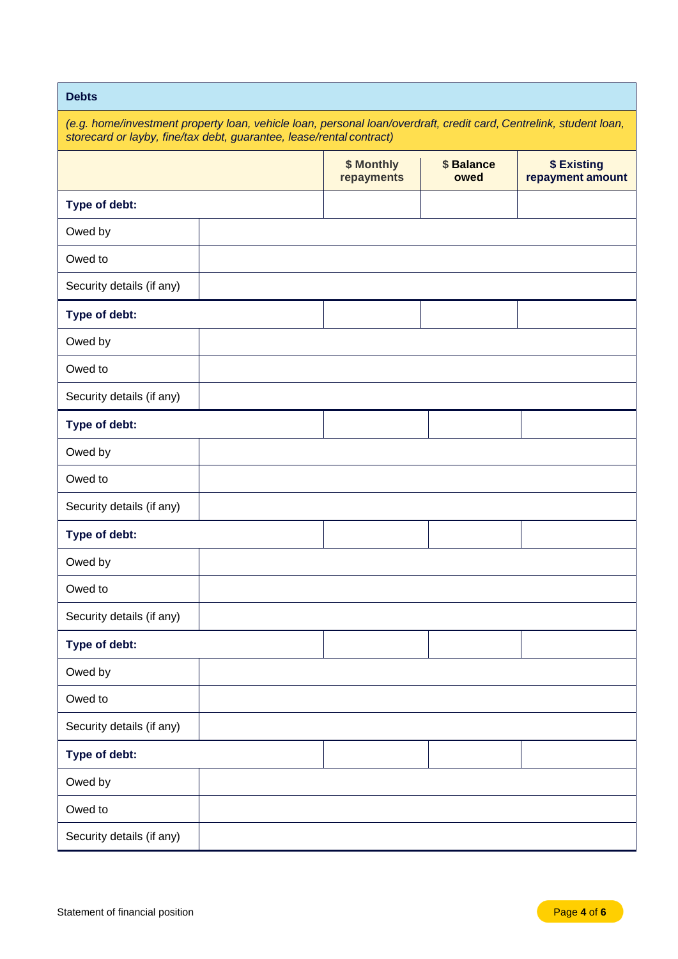### **Debts**

| (e.g. home/investment property loan, vehicle loan, personal loan/overdraft, credit card, Centrelink, student loan, |  |  |  |
|--------------------------------------------------------------------------------------------------------------------|--|--|--|
| storecard or layby, fine/tax debt, guarantee, lease/rental contract)                                               |  |  |  |

|                           | \$ Monthly<br>repayments | \$ Balance<br>owed | \$ Existing<br>repayment amount |
|---------------------------|--------------------------|--------------------|---------------------------------|
| Type of debt:             |                          |                    |                                 |
| Owed by                   |                          |                    |                                 |
| Owed to                   |                          |                    |                                 |
| Security details (if any) |                          |                    |                                 |
| Type of debt:             |                          |                    |                                 |
| Owed by                   |                          |                    |                                 |
| Owed to                   |                          |                    |                                 |
| Security details (if any) |                          |                    |                                 |
| Type of debt:             |                          |                    |                                 |
| Owed by                   |                          |                    |                                 |
| Owed to                   |                          |                    |                                 |
| Security details (if any) |                          |                    |                                 |
| Type of debt:             |                          |                    |                                 |
| Owed by                   |                          |                    |                                 |
| Owed to                   |                          |                    |                                 |
| Security details (if any) |                          |                    |                                 |
| Type of debt:             |                          |                    |                                 |
| Owed by                   |                          |                    |                                 |
| Owed to                   |                          |                    |                                 |
| Security details (if any) |                          |                    |                                 |
| Type of debt:             |                          |                    |                                 |
| Owed by                   |                          |                    |                                 |
| Owed to                   |                          |                    |                                 |
| Security details (if any) |                          |                    |                                 |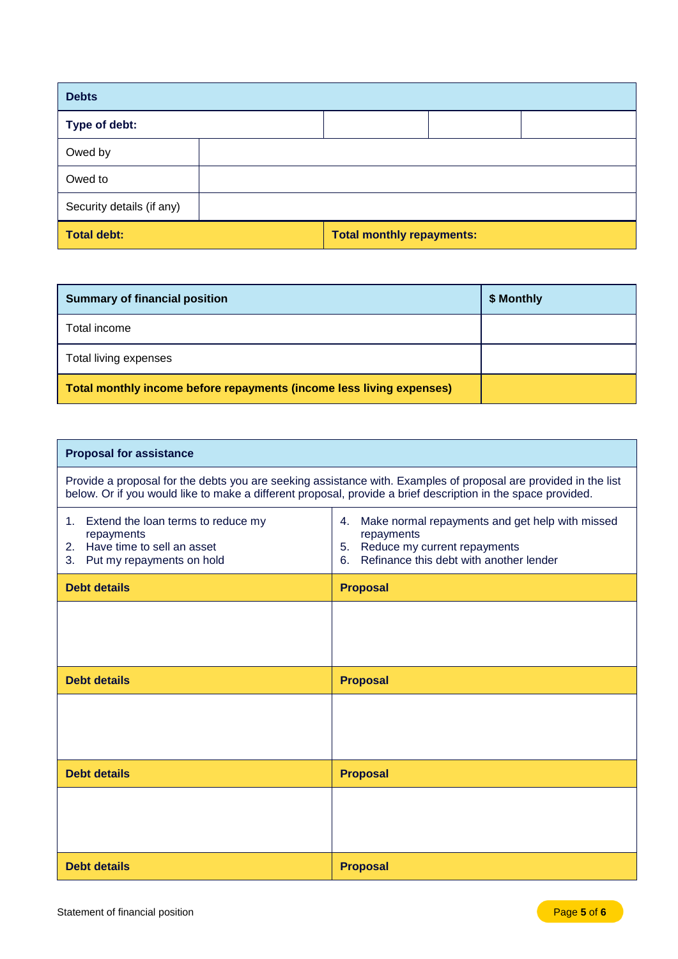| <b>Debts</b>              |                                  |  |
|---------------------------|----------------------------------|--|
| Type of debt:             |                                  |  |
| Owed by                   |                                  |  |
| Owed to                   |                                  |  |
| Security details (if any) |                                  |  |
| <b>Total debt:</b>        | <b>Total monthly repayments:</b> |  |

| <b>Summary of financial position</b>                                 | \$ Monthly |
|----------------------------------------------------------------------|------------|
| Total income                                                         |            |
| Total living expenses                                                |            |
| Total monthly income before repayments (income less living expenses) |            |

#### **Proposal for assistance**

Provide a proposal for the debts you are seeking assistance with. Examples of proposal are provided in the list below. Or if you would like to make a different proposal, provide a brief description in the space provided.

T

| 1. Extend the loan terms to reduce my<br>repayments<br>2. Have time to sell an asset<br>3. Put my repayments on hold | Make normal repayments and get help with missed<br>4.<br>repayments<br>5. Reduce my current repayments<br>6. Refinance this debt with another lender |
|----------------------------------------------------------------------------------------------------------------------|------------------------------------------------------------------------------------------------------------------------------------------------------|
| <b>Debt details</b>                                                                                                  | <b>Proposal</b>                                                                                                                                      |
|                                                                                                                      |                                                                                                                                                      |
|                                                                                                                      |                                                                                                                                                      |
| <b>Debt details</b>                                                                                                  | <b>Proposal</b>                                                                                                                                      |
|                                                                                                                      |                                                                                                                                                      |
|                                                                                                                      |                                                                                                                                                      |
| <b>Debt details</b>                                                                                                  | <b>Proposal</b>                                                                                                                                      |
|                                                                                                                      |                                                                                                                                                      |
|                                                                                                                      |                                                                                                                                                      |
| <b>Debt details</b>                                                                                                  | <b>Proposal</b>                                                                                                                                      |